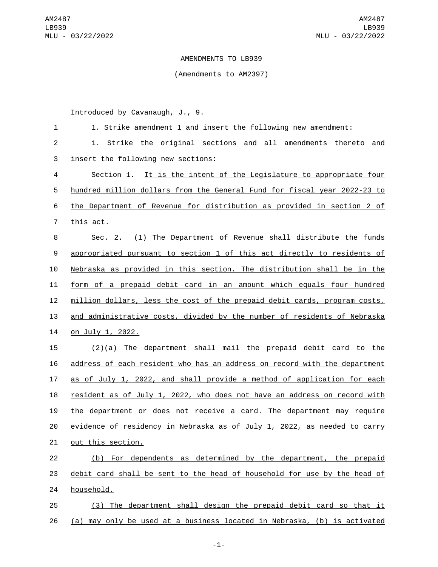## AMENDMENTS TO LB939

## (Amendments to AM2397)

Introduced by Cavanaugh, J., 9.

| $\mathbf{1}$   | 1. Strike amendment 1 and insert the following new amendment:             |
|----------------|---------------------------------------------------------------------------|
| $\overline{2}$ | Strike the original sections and all amendments thereto<br>and<br>1.      |
| 3              | insert the following new sections:                                        |
| 4              | Section 1. It is the intent of the Legislature to appropriate four        |
| 5              | hundred million dollars from the General Fund for fiscal year 2022-23 to  |
| 6              | the Department of Revenue for distribution as provided in section 2 of    |
| $\overline{7}$ | this act.                                                                 |
| 8              | (1) The Department of Revenue shall distribute the funds<br>Sec. 2.       |
| 9              | appropriated pursuant to section 1 of this act directly to residents of   |
| 10             | Nebraska as provided in this section. The distribution shall be in the    |
| 11             | form of a prepaid debit card in an amount which equals four hundred       |
| 12             | million dollars, less the cost of the prepaid debit cards, program costs, |
| 13             | and administrative costs, divided by the number of residents of Nebraska  |
| 14             | <u>on July 1, 2022.</u>                                                   |
| 15             | $(2)(a)$ The department shall mail the prepaid debit card to the          |
| 16             | address of each resident who has an address on record with the department |
| 17             | as of July 1, 2022, and shall provide a method of application for each    |
| 18             | resident as of July 1, 2022, who does not have an address on record with  |
| 19             | the department or does not receive a card. The department may require     |
| 20             | evidence of residency in Nebraska as of July 1, 2022, as needed to carry  |
| 21             | out this section.                                                         |
| 22             | (b) For dependents as determined by the department, the prepaid           |
| 23             | debit card shall be sent to the head of household for use by the head of  |
| 24             | household.                                                                |
| 25             | (3) The department shall design the prepaid debit card so that it         |
| 26             | (a) may only be used at a business located in Nebraska, (b) is activated  |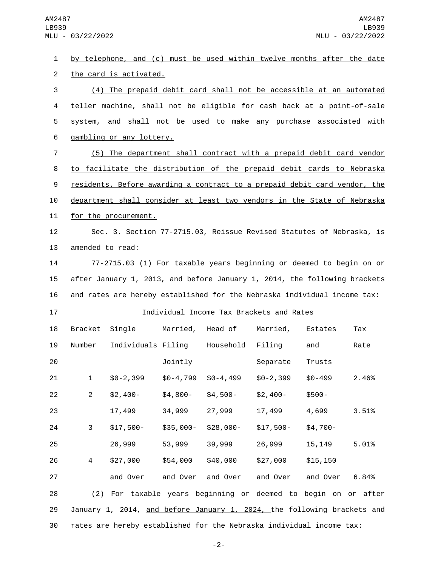by telephone, and (c) must be used within twelve months after the date 2 the card is activated. (4) The prepaid debit card shall not be accessible at an automated teller machine, shall not be eligible for cash back at a point-of-sale system, and shall not be used to make any purchase associated with 6 gambling or any lottery. (5) The department shall contract with a prepaid debit card vendor to facilitate the distribution of the prepaid debit cards to Nebraska residents. Before awarding a contract to a prepaid debit card vendor, the department shall consider at least two vendors in the State of Nebraska 11 for the procurement. Sec. 3. Section 77-2715.03, Reissue Revised Statutes of Nebraska, is 13 amended to read: 77-2715.03 (1) For taxable years beginning or deemed to begin on or after January 1, 2013, and before January 1, 2014, the following brackets and rates are hereby established for the Nebraska individual income tax: Individual Income Tax Brackets and Rates 18 Bracket Single Married, Head of Married, Estates Tax 19 Number Individuals Filing Household Filing and Rate **101** Jointly Separate Trusts \$0-2,399 \$0-4,799 \$0-4,499 \$0-2,399 \$0-499 2.46% \$2,400- \$4,800- \$4,500- \$2,400- \$500- 17,499 34,999 27,999 17,499 4,699 3.51% \$17,500- \$35,000- \$28,000- \$17,500- \$4,700- 26,999 53,999 39,999 26,999 15,149 5.01% \$27,000 \$54,000 \$40,000 \$27,000 \$15,150 and Over and Over and Over and Over and Over 6.84% (2) For taxable years beginning or deemed to begin on or after January 1, 2014, and before January 1, 2024, the following brackets and rates are hereby established for the Nebraska individual income tax:

-2-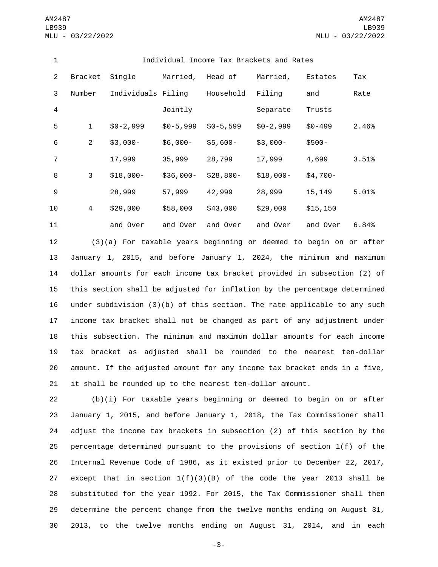| 1              | Individual Income Tax Brackets and Rates |                    |            |            |            |            |       |
|----------------|------------------------------------------|--------------------|------------|------------|------------|------------|-------|
| 2              | Bracket                                  | Single             | Married,   | Head of    | Married,   | Estates    | Tax   |
| 3              | Number                                   | Individuals Filing |            | Household  | Filing     | and        | Rate  |
| $\overline{4}$ |                                          |                    | Jointly    |            | Separate   | Trusts     |       |
| 5              | $\mathbf 1$                              | $$0-2,999$         | $$0-5,999$ | $$0-5,599$ | $$0-2,999$ | $$0 - 499$ | 2.46% |
| 6              | $\overline{2}$                           | $$3,000-$          | $$6,000-$  | $$5,600-$  | $$3,000-$  | $$500-$    |       |
| $\overline{7}$ |                                          | 17,999             | 35,999     | 28,799     | 17,999     | 4,699      | 3.51% |
| 8              | 3                                        | $$18,000-$         | $$36,000-$ | $$28,800-$ | $$18,000-$ | $$4,700-$  |       |
| 9              |                                          | 28,999             | 57,999     | 42,999     | 28,999     | 15,149     | 5.01% |
| 10             | 4                                        | \$29,000           | \$58,000   | \$43,000   | \$29,000   | \$15, 150  |       |
| 11             |                                          | and Over           | and Over   | and Over   | and Over   | and Over   | 6.84% |

 (3)(a) For taxable years beginning or deemed to begin on or after 13 January 1, 2015, and before January 1, 2024, the minimum and maximum dollar amounts for each income tax bracket provided in subsection (2) of this section shall be adjusted for inflation by the percentage determined under subdivision (3)(b) of this section. The rate applicable to any such income tax bracket shall not be changed as part of any adjustment under this subsection. The minimum and maximum dollar amounts for each income tax bracket as adjusted shall be rounded to the nearest ten-dollar amount. If the adjusted amount for any income tax bracket ends in a five, it shall be rounded up to the nearest ten-dollar amount.

 (b)(i) For taxable years beginning or deemed to begin on or after January 1, 2015, and before January 1, 2018, the Tax Commissioner shall adjust the income tax brackets in subsection (2) of this section by the percentage determined pursuant to the provisions of section 1(f) of the Internal Revenue Code of 1986, as it existed prior to December 22, 2017, 27 except that in section  $1(f)(3)(B)$  of the code the year 2013 shall be substituted for the year 1992. For 2015, the Tax Commissioner shall then determine the percent change from the twelve months ending on August 31, 2013, to the twelve months ending on August 31, 2014, and in each

-3-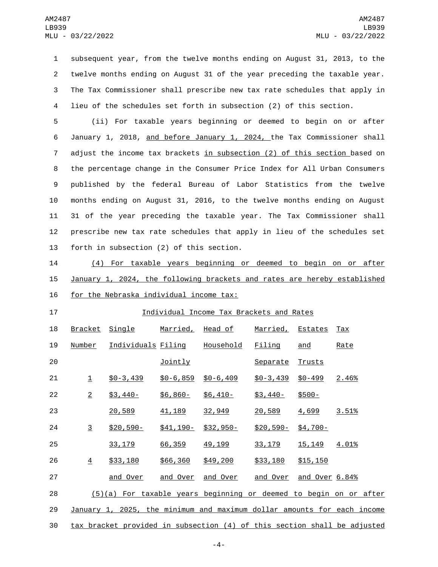subsequent year, from the twelve months ending on August 31, 2013, to the twelve months ending on August 31 of the year preceding the taxable year. The Tax Commissioner shall prescribe new tax rate schedules that apply in lieu of the schedules set forth in subsection (2) of this section.

 (ii) For taxable years beginning or deemed to begin on or after January 1, 2018, and before January 1, 2024, the Tax Commissioner shall adjust the income tax brackets in subsection (2) of this section based on the percentage change in the Consumer Price Index for All Urban Consumers published by the federal Bureau of Labor Statistics from the twelve months ending on August 31, 2016, to the twelve months ending on August 31 of the year preceding the taxable year. The Tax Commissioner shall prescribe new tax rate schedules that apply in lieu of the schedules set 13 forth in subsection (2) of this section.

 (4) For taxable years beginning or deemed to begin on or after January 1, 2024, the following brackets and rates are hereby established 16 for the Nebraska individual income tax:

## Individual Income Tax Brackets and Rates

| 18 | <b>Bracket</b> | <u>Single</u>                                                            | <u>Married,</u> | <u>Head of</u>   | Married, Estates |                | $\overline{ax}$ |
|----|----------------|--------------------------------------------------------------------------|-----------------|------------------|------------------|----------------|-----------------|
| 19 | Number         | <u>Individuals Filing</u>                                                |                 | <u>Household</u> | Filing           | and            | Rate            |
| 20 |                |                                                                          | Jointly         |                  | Separate         | Trusts         |                 |
| 21 | $\mathbf 1$    | $$0 - 3,439$                                                             | $$0 - 6, 859$   | $$0 - 6, 409$    | $$0 - 3,439$     | $$0 - 499$     | 2.46%           |
| 22 | $\overline{2}$ | $$3,440-$                                                                | $$6,860-$       | $$6,410-$        | $$3,440-$        | $$500-$        |                 |
| 23 |                | 20,589                                                                   | 41, 189         | 32,949           | 20,589           | 4,699          | 3.51%           |
| 24 | $\overline{3}$ | $$20,590-$                                                               | $$41,190-$      | $$32,950-$       | $$20,590-$       | $$4,700-$      |                 |
| 25 |                | 33, 179                                                                  | 66,359          | 49, 199          | 33, 179          | 15, 149        | 4.01%           |
| 26 | $\overline{4}$ | \$33,180                                                                 | \$66,360        | \$49,200         | \$33,180         | \$15,150       |                 |
| 27 |                | and Over                                                                 | and Over        | and Over         | and Over         | and Over 6.84% |                 |
| 28 |                | $(5)(a)$ For taxable years beginning or deemed to begin on or after      |                 |                  |                  |                |                 |
| 29 |                | January 1, 2025, the minimum and maximum dollar amounts for each income  |                 |                  |                  |                |                 |
| 30 |                | tax bracket provided in subsection (4) of this section shall be adjusted |                 |                  |                  |                |                 |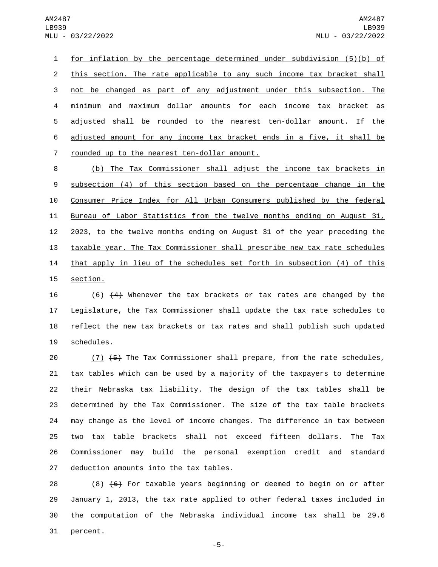1 for inflation by the percentage determined under subdivision (5)(b) of 2 this section. The rate applicable to any such income tax bracket shall 3 not be changed as part of any adjustment under this subsection. The 4 minimum and maximum dollar amounts for each income tax bracket as 5 adjusted shall be rounded to the nearest ten-dollar amount. If the 6 adjusted amount for any income tax bracket ends in a five, it shall be 7 rounded up to the nearest ten-dollar amount.

 (b) The Tax Commissioner shall adjust the income tax brackets in subsection (4) of this section based on the percentage change in the Consumer Price Index for All Urban Consumers published by the federal Bureau of Labor Statistics from the twelve months ending on August 31, 2023, to the twelve months ending on August 31 of the year preceding the taxable year. The Tax Commissioner shall prescribe new tax rate schedules 14 that apply in lieu of the schedules set forth in subsection (4) of this 15 section.

 (6) (4) Whenever the tax brackets or tax rates are changed by the Legislature, the Tax Commissioner shall update the tax rate schedules to reflect the new tax brackets or tax rates and shall publish such updated 19 schedules.

20 (7) (5) The Tax Commissioner shall prepare, from the rate schedules, tax tables which can be used by a majority of the taxpayers to determine their Nebraska tax liability. The design of the tax tables shall be determined by the Tax Commissioner. The size of the tax table brackets may change as the level of income changes. The difference in tax between two tax table brackets shall not exceed fifteen dollars. The Tax Commissioner may build the personal exemption credit and standard 27 deduction amounts into the tax tables.

28 (8)  $(6)$  For taxable years beginning or deemed to begin on or after 29 January 1, 2013, the tax rate applied to other federal taxes included in 30 the computation of the Nebraska individual income tax shall be 29.6 31 percent.

-5-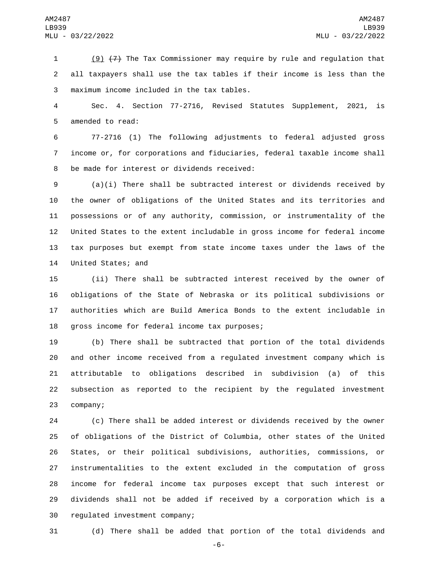(9) (7) The Tax Commissioner may require by rule and regulation that all taxpayers shall use the tax tables if their income is less than the maximum income included in the tax tables.3

 Sec. 4. Section 77-2716, Revised Statutes Supplement, 2021, is 5 amended to read:

 77-2716 (1) The following adjustments to federal adjusted gross income or, for corporations and fiduciaries, federal taxable income shall 8 be made for interest or dividends received:

 (a)(i) There shall be subtracted interest or dividends received by the owner of obligations of the United States and its territories and possessions or of any authority, commission, or instrumentality of the United States to the extent includable in gross income for federal income tax purposes but exempt from state income taxes under the laws of the 14 United States; and

 (ii) There shall be subtracted interest received by the owner of obligations of the State of Nebraska or its political subdivisions or authorities which are Build America Bonds to the extent includable in 18 gross income for federal income tax purposes;

 (b) There shall be subtracted that portion of the total dividends and other income received from a regulated investment company which is attributable to obligations described in subdivision (a) of this subsection as reported to the recipient by the regulated investment 23 company;

 (c) There shall be added interest or dividends received by the owner of obligations of the District of Columbia, other states of the United States, or their political subdivisions, authorities, commissions, or instrumentalities to the extent excluded in the computation of gross income for federal income tax purposes except that such interest or dividends shall not be added if received by a corporation which is a 30 regulated investment company;

(d) There shall be added that portion of the total dividends and

-6-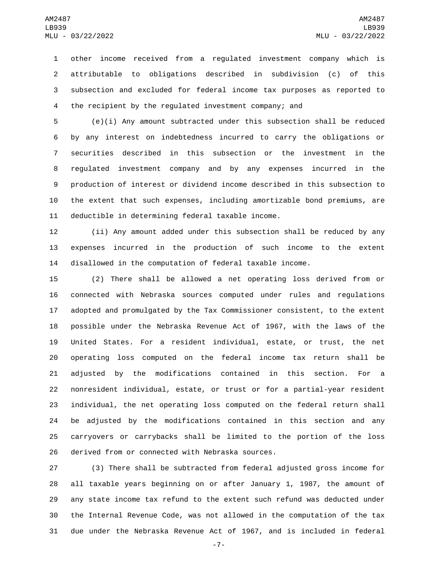other income received from a regulated investment company which is attributable to obligations described in subdivision (c) of this subsection and excluded for federal income tax purposes as reported to the recipient by the regulated investment company; and

 (e)(i) Any amount subtracted under this subsection shall be reduced by any interest on indebtedness incurred to carry the obligations or securities described in this subsection or the investment in the regulated investment company and by any expenses incurred in the production of interest or dividend income described in this subsection to the extent that such expenses, including amortizable bond premiums, are 11 deductible in determining federal taxable income.

 (ii) Any amount added under this subsection shall be reduced by any expenses incurred in the production of such income to the extent disallowed in the computation of federal taxable income.

 (2) There shall be allowed a net operating loss derived from or connected with Nebraska sources computed under rules and regulations adopted and promulgated by the Tax Commissioner consistent, to the extent possible under the Nebraska Revenue Act of 1967, with the laws of the United States. For a resident individual, estate, or trust, the net operating loss computed on the federal income tax return shall be adjusted by the modifications contained in this section. For a nonresident individual, estate, or trust or for a partial-year resident individual, the net operating loss computed on the federal return shall be adjusted by the modifications contained in this section and any carryovers or carrybacks shall be limited to the portion of the loss 26 derived from or connected with Nebraska sources.

 (3) There shall be subtracted from federal adjusted gross income for all taxable years beginning on or after January 1, 1987, the amount of any state income tax refund to the extent such refund was deducted under the Internal Revenue Code, was not allowed in the computation of the tax due under the Nebraska Revenue Act of 1967, and is included in federal

-7-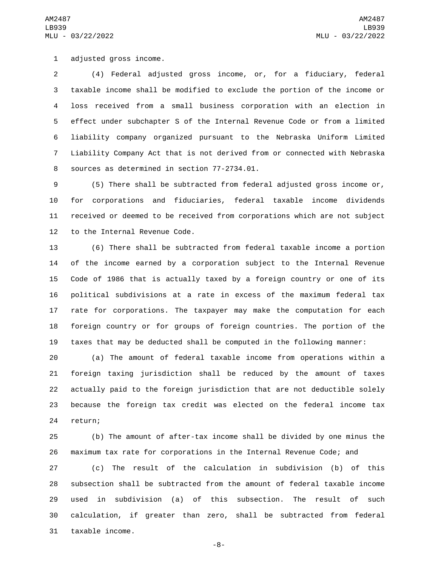1 adjusted gross income.

 (4) Federal adjusted gross income, or, for a fiduciary, federal taxable income shall be modified to exclude the portion of the income or loss received from a small business corporation with an election in effect under subchapter S of the Internal Revenue Code or from a limited liability company organized pursuant to the Nebraska Uniform Limited Liability Company Act that is not derived from or connected with Nebraska 8 sources as determined in section 77-2734.01.

 (5) There shall be subtracted from federal adjusted gross income or, for corporations and fiduciaries, federal taxable income dividends received or deemed to be received from corporations which are not subject 12 to the Internal Revenue Code.

 (6) There shall be subtracted from federal taxable income a portion of the income earned by a corporation subject to the Internal Revenue Code of 1986 that is actually taxed by a foreign country or one of its political subdivisions at a rate in excess of the maximum federal tax rate for corporations. The taxpayer may make the computation for each foreign country or for groups of foreign countries. The portion of the taxes that may be deducted shall be computed in the following manner:

 (a) The amount of federal taxable income from operations within a foreign taxing jurisdiction shall be reduced by the amount of taxes actually paid to the foreign jurisdiction that are not deductible solely because the foreign tax credit was elected on the federal income tax 24 return;

 (b) The amount of after-tax income shall be divided by one minus the maximum tax rate for corporations in the Internal Revenue Code; and

 (c) The result of the calculation in subdivision (b) of this subsection shall be subtracted from the amount of federal taxable income used in subdivision (a) of this subsection. The result of such calculation, if greater than zero, shall be subtracted from federal 31 taxable income.

-8-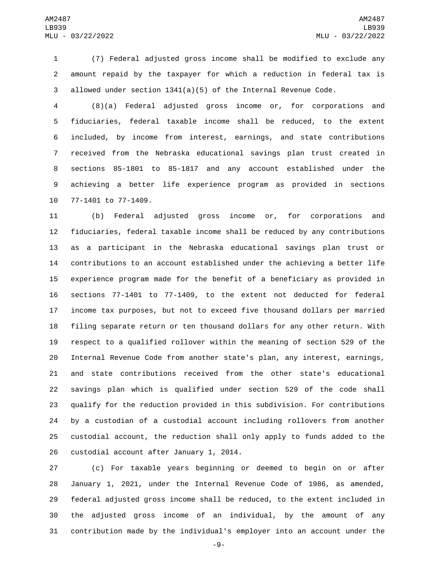(7) Federal adjusted gross income shall be modified to exclude any amount repaid by the taxpayer for which a reduction in federal tax is allowed under section 1341(a)(5) of the Internal Revenue Code.

 (8)(a) Federal adjusted gross income or, for corporations and fiduciaries, federal taxable income shall be reduced, to the extent included, by income from interest, earnings, and state contributions received from the Nebraska educational savings plan trust created in sections 85-1801 to 85-1817 and any account established under the achieving a better life experience program as provided in sections 10 77-1401 to 77-1409.

 (b) Federal adjusted gross income or, for corporations and fiduciaries, federal taxable income shall be reduced by any contributions as a participant in the Nebraska educational savings plan trust or contributions to an account established under the achieving a better life experience program made for the benefit of a beneficiary as provided in sections 77-1401 to 77-1409, to the extent not deducted for federal income tax purposes, but not to exceed five thousand dollars per married filing separate return or ten thousand dollars for any other return. With respect to a qualified rollover within the meaning of section 529 of the Internal Revenue Code from another state's plan, any interest, earnings, and state contributions received from the other state's educational savings plan which is qualified under section 529 of the code shall qualify for the reduction provided in this subdivision. For contributions by a custodian of a custodial account including rollovers from another custodial account, the reduction shall only apply to funds added to the 26 custodial account after January 1, 2014.

 (c) For taxable years beginning or deemed to begin on or after January 1, 2021, under the Internal Revenue Code of 1986, as amended, federal adjusted gross income shall be reduced, to the extent included in the adjusted gross income of an individual, by the amount of any contribution made by the individual's employer into an account under the

-9-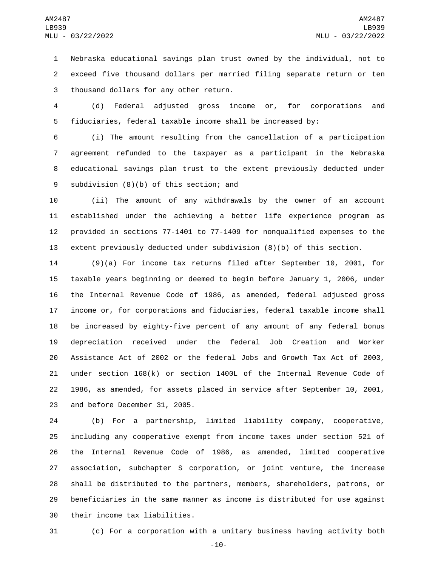Nebraska educational savings plan trust owned by the individual, not to exceed five thousand dollars per married filing separate return or ten 3 thousand dollars for any other return.

 (d) Federal adjusted gross income or, for corporations and fiduciaries, federal taxable income shall be increased by:

 (i) The amount resulting from the cancellation of a participation agreement refunded to the taxpayer as a participant in the Nebraska educational savings plan trust to the extent previously deducted under 9 subdivision (8)(b) of this section; and

 (ii) The amount of any withdrawals by the owner of an account established under the achieving a better life experience program as provided in sections 77-1401 to 77-1409 for nonqualified expenses to the extent previously deducted under subdivision (8)(b) of this section.

 (9)(a) For income tax returns filed after September 10, 2001, for taxable years beginning or deemed to begin before January 1, 2006, under the Internal Revenue Code of 1986, as amended, federal adjusted gross income or, for corporations and fiduciaries, federal taxable income shall be increased by eighty-five percent of any amount of any federal bonus depreciation received under the federal Job Creation and Worker Assistance Act of 2002 or the federal Jobs and Growth Tax Act of 2003, under section 168(k) or section 1400L of the Internal Revenue Code of 1986, as amended, for assets placed in service after September 10, 2001, 23 and before December 31, 2005.

 (b) For a partnership, limited liability company, cooperative, including any cooperative exempt from income taxes under section 521 of the Internal Revenue Code of 1986, as amended, limited cooperative association, subchapter S corporation, or joint venture, the increase shall be distributed to the partners, members, shareholders, patrons, or beneficiaries in the same manner as income is distributed for use against 30 their income tax liabilities.

(c) For a corporation with a unitary business having activity both

-10-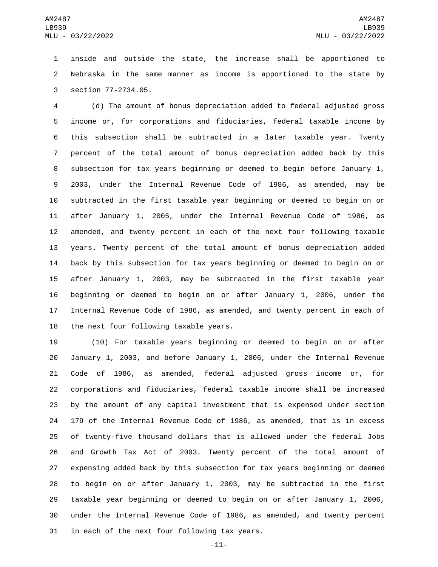inside and outside the state, the increase shall be apportioned to Nebraska in the same manner as income is apportioned to the state by 3 section 77-2734.05.

 (d) The amount of bonus depreciation added to federal adjusted gross income or, for corporations and fiduciaries, federal taxable income by this subsection shall be subtracted in a later taxable year. Twenty percent of the total amount of bonus depreciation added back by this subsection for tax years beginning or deemed to begin before January 1, 2003, under the Internal Revenue Code of 1986, as amended, may be subtracted in the first taxable year beginning or deemed to begin on or after January 1, 2005, under the Internal Revenue Code of 1986, as amended, and twenty percent in each of the next four following taxable years. Twenty percent of the total amount of bonus depreciation added back by this subsection for tax years beginning or deemed to begin on or after January 1, 2003, may be subtracted in the first taxable year beginning or deemed to begin on or after January 1, 2006, under the Internal Revenue Code of 1986, as amended, and twenty percent in each of 18 the next four following taxable years.

 (10) For taxable years beginning or deemed to begin on or after January 1, 2003, and before January 1, 2006, under the Internal Revenue Code of 1986, as amended, federal adjusted gross income or, for corporations and fiduciaries, federal taxable income shall be increased by the amount of any capital investment that is expensed under section 179 of the Internal Revenue Code of 1986, as amended, that is in excess of twenty-five thousand dollars that is allowed under the federal Jobs and Growth Tax Act of 2003. Twenty percent of the total amount of expensing added back by this subsection for tax years beginning or deemed to begin on or after January 1, 2003, may be subtracted in the first taxable year beginning or deemed to begin on or after January 1, 2006, under the Internal Revenue Code of 1986, as amended, and twenty percent 31 in each of the next four following tax years.

-11-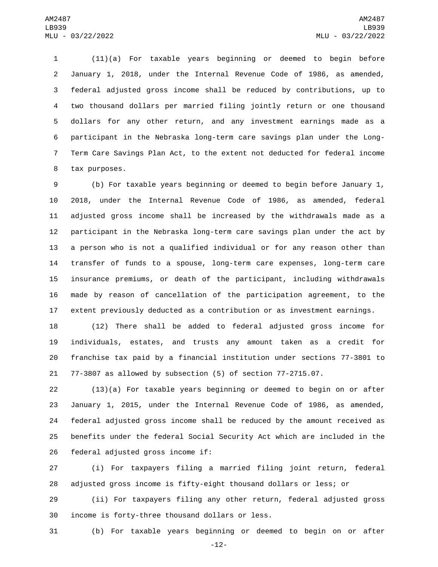(11)(a) For taxable years beginning or deemed to begin before January 1, 2018, under the Internal Revenue Code of 1986, as amended, federal adjusted gross income shall be reduced by contributions, up to two thousand dollars per married filing jointly return or one thousand dollars for any other return, and any investment earnings made as a participant in the Nebraska long-term care savings plan under the Long- Term Care Savings Plan Act, to the extent not deducted for federal income 8 tax purposes.

 (b) For taxable years beginning or deemed to begin before January 1, 2018, under the Internal Revenue Code of 1986, as amended, federal adjusted gross income shall be increased by the withdrawals made as a participant in the Nebraska long-term care savings plan under the act by a person who is not a qualified individual or for any reason other than transfer of funds to a spouse, long-term care expenses, long-term care insurance premiums, or death of the participant, including withdrawals made by reason of cancellation of the participation agreement, to the extent previously deducted as a contribution or as investment earnings.

 (12) There shall be added to federal adjusted gross income for individuals, estates, and trusts any amount taken as a credit for franchise tax paid by a financial institution under sections 77-3801 to 77-3807 as allowed by subsection (5) of section 77-2715.07.

 (13)(a) For taxable years beginning or deemed to begin on or after January 1, 2015, under the Internal Revenue Code of 1986, as amended, federal adjusted gross income shall be reduced by the amount received as benefits under the federal Social Security Act which are included in the 26 federal adjusted gross income if:

 (i) For taxpayers filing a married filing joint return, federal adjusted gross income is fifty-eight thousand dollars or less; or

 (ii) For taxpayers filing any other return, federal adjusted gross 30 income is forty-three thousand dollars or less.

(b) For taxable years beginning or deemed to begin on or after

-12-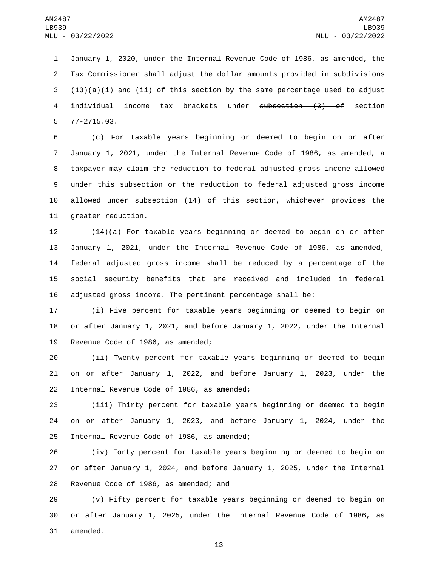January 1, 2020, under the Internal Revenue Code of 1986, as amended, the Tax Commissioner shall adjust the dollar amounts provided in subdivisions  $(13)(a)(i)$  and (ii) of this section by the same percentage used to adjust individual income tax brackets under subsection (3) of section 77-2715.03.5

 (c) For taxable years beginning or deemed to begin on or after January 1, 2021, under the Internal Revenue Code of 1986, as amended, a taxpayer may claim the reduction to federal adjusted gross income allowed under this subsection or the reduction to federal adjusted gross income allowed under subsection (14) of this section, whichever provides the 11 greater reduction.

 (14)(a) For taxable years beginning or deemed to begin on or after January 1, 2021, under the Internal Revenue Code of 1986, as amended, federal adjusted gross income shall be reduced by a percentage of the social security benefits that are received and included in federal adjusted gross income. The pertinent percentage shall be:

 (i) Five percent for taxable years beginning or deemed to begin on or after January 1, 2021, and before January 1, 2022, under the Internal 19 Revenue Code of 1986, as amended;

 (ii) Twenty percent for taxable years beginning or deemed to begin on or after January 1, 2022, and before January 1, 2023, under the 22 Internal Revenue Code of 1986, as amended;

 (iii) Thirty percent for taxable years beginning or deemed to begin on or after January 1, 2023, and before January 1, 2024, under the 25 Internal Revenue Code of 1986, as amended;

 (iv) Forty percent for taxable years beginning or deemed to begin on or after January 1, 2024, and before January 1, 2025, under the Internal 28 Revenue Code of 1986, as amended; and

 (v) Fifty percent for taxable years beginning or deemed to begin on or after January 1, 2025, under the Internal Revenue Code of 1986, as 31 amended.

-13-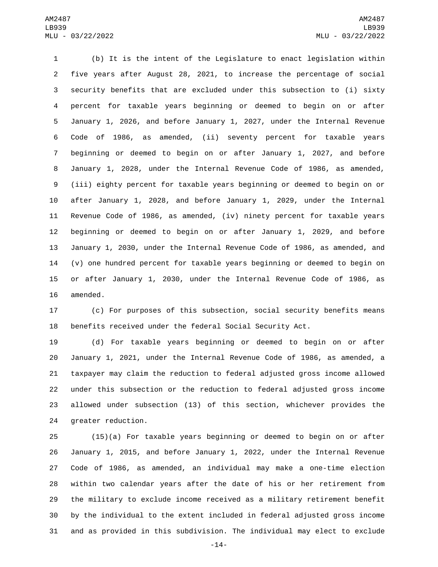(b) It is the intent of the Legislature to enact legislation within five years after August 28, 2021, to increase the percentage of social security benefits that are excluded under this subsection to (i) sixty percent for taxable years beginning or deemed to begin on or after January 1, 2026, and before January 1, 2027, under the Internal Revenue Code of 1986, as amended, (ii) seventy percent for taxable years beginning or deemed to begin on or after January 1, 2027, and before January 1, 2028, under the Internal Revenue Code of 1986, as amended, (iii) eighty percent for taxable years beginning or deemed to begin on or after January 1, 2028, and before January 1, 2029, under the Internal Revenue Code of 1986, as amended, (iv) ninety percent for taxable years beginning or deemed to begin on or after January 1, 2029, and before January 1, 2030, under the Internal Revenue Code of 1986, as amended, and (v) one hundred percent for taxable years beginning or deemed to begin on or after January 1, 2030, under the Internal Revenue Code of 1986, as 16 amended.

 (c) For purposes of this subsection, social security benefits means benefits received under the federal Social Security Act.

 (d) For taxable years beginning or deemed to begin on or after January 1, 2021, under the Internal Revenue Code of 1986, as amended, a taxpayer may claim the reduction to federal adjusted gross income allowed under this subsection or the reduction to federal adjusted gross income allowed under subsection (13) of this section, whichever provides the 24 greater reduction.

 (15)(a) For taxable years beginning or deemed to begin on or after January 1, 2015, and before January 1, 2022, under the Internal Revenue Code of 1986, as amended, an individual may make a one-time election within two calendar years after the date of his or her retirement from the military to exclude income received as a military retirement benefit by the individual to the extent included in federal adjusted gross income and as provided in this subdivision. The individual may elect to exclude

-14-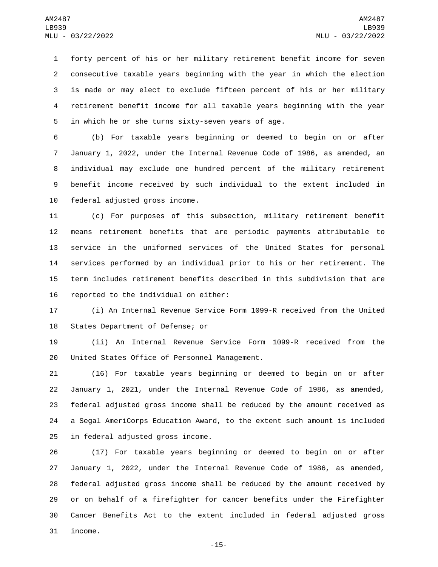forty percent of his or her military retirement benefit income for seven consecutive taxable years beginning with the year in which the election is made or may elect to exclude fifteen percent of his or her military retirement benefit income for all taxable years beginning with the year 5 in which he or she turns sixty-seven years of age.

 (b) For taxable years beginning or deemed to begin on or after January 1, 2022, under the Internal Revenue Code of 1986, as amended, an individual may exclude one hundred percent of the military retirement benefit income received by such individual to the extent included in 10 federal adjusted gross income.

 (c) For purposes of this subsection, military retirement benefit means retirement benefits that are periodic payments attributable to service in the uniformed services of the United States for personal services performed by an individual prior to his or her retirement. The term includes retirement benefits described in this subdivision that are 16 reported to the individual on either:

 (i) An Internal Revenue Service Form 1099-R received from the United 18 States Department of Defense; or

 (ii) An Internal Revenue Service Form 1099-R received from the 20 United States Office of Personnel Management.

 (16) For taxable years beginning or deemed to begin on or after January 1, 2021, under the Internal Revenue Code of 1986, as amended, federal adjusted gross income shall be reduced by the amount received as a Segal AmeriCorps Education Award, to the extent such amount is included 25 in federal adjusted gross income.

 (17) For taxable years beginning or deemed to begin on or after January 1, 2022, under the Internal Revenue Code of 1986, as amended, federal adjusted gross income shall be reduced by the amount received by or on behalf of a firefighter for cancer benefits under the Firefighter Cancer Benefits Act to the extent included in federal adjusted gross 31 income.

-15-